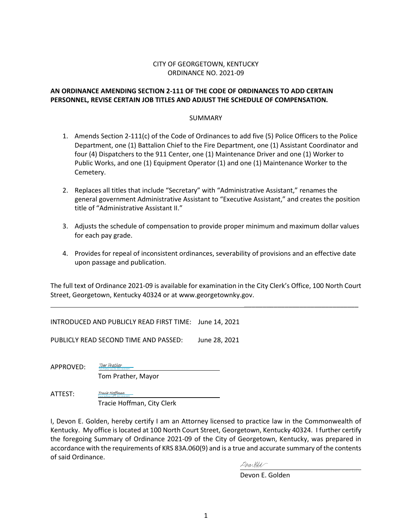### CITY OF GEORGETOWN, KENTUCKY ORDINANCE NO. 2021-09

### **AN ORDINANCE AMENDING SECTION 2-111 OF THE CODE OF ORDINANCES TO ADD CERTAIN PERSONNEL, REVISE CERTAIN JOB TITLES AND ADJUST THE SCHEDULE OF COMPENSATION.**

### SUMMARY

- 1. Amends Section 2-111(c) of the Code of Ordinances to add five (5) Police Officers to the Police Department, one (1) Battalion Chief to the Fire Department, one (1) Assistant Coordinator and four (4) Dispatchers to the 911 Center, one (1) Maintenance Driver and one (1) Worker to Public Works, and one (1) Equipment Operator (1) and one (1) Maintenance Worker to the Cemetery.
- 2. Replaces all titles that include "Secretary" with "Administrative Assistant," renames the general government Administrative Assistant to "Executive Assistant," and creates the position title of "Administrative Assistant II."
- 3. Adjusts the schedule of compensation to provide proper minimum and maximum dollar values for each pay grade.
- 4. Provides for repeal of inconsistent ordinances, severability of provisions and an effective date upon passage and publication.

The full text of Ordinance 2021-09 is available for examination in the City Clerk's Office, 100 North Court Street, Georgetown, Kentucky 40324 or at www.georgetownky.gov.

INTRODUCED AND PUBLICLY READ FIRST TIME: June 14, 2021

PUBLICLY READ SECOND TIME AND PASSED: June 28, 2021

APPROVED:

Tom Prather, Mayor

Tom Prather (Jun 30, 2021 16:03 EDT) [Tom Prather](https://na1.documents.adobe.com/verifier?tx=CBJCHBCAABAAFcfdTN6ZVSNc1TtvUatKpS2t69nojPyY)

ATTEST: Tracie Hoffman, City Clerk Tracie Hoffman (Jul 1, 2021 10:43 EDT) [Tracie Hoffman](https://na1.documents.adobe.com/verifier?tx=CBJCHBCAABAAFcfdTN6ZVSNc1TtvUatKpS2t69nojPyY)

I, Devon E. Golden, hereby certify I am an Attorney licensed to practice law in the Commonwealth of Kentucky. My office is located at 100 North Court Street, Georgetown, Kentucky 40324. I further certify the foregoing Summary of Ordinance 2021-09 of the City of Georgetown, Kentucky, was prepared in accordance with the requirements of KRS 83A.060(9) and is a true and accurate summary of the contents of said Ordinance.

Derarelle

Devon E. Golden

\_\_\_\_\_\_\_\_\_\_\_\_\_\_\_\_\_\_\_\_\_\_\_\_\_\_\_\_\_\_\_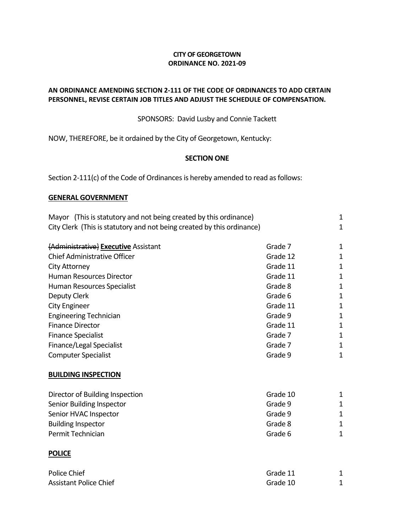### **CITY OF GEORGETOWN ORDINANCE NO. 2021-09**

### **AN ORDINANCE AMENDING SECTION 2-111 OF THE CODE OF ORDINANCES TO ADD CERTAIN PERSONNEL, REVISE CERTAIN JOB TITLES AND ADJUST THE SCHEDULE OF COMPENSATION.**

SPONSORS: David Lusby and Connie Tackett

NOW, THEREFORE, be it ordained by the City of Georgetown, Kentucky:

### **SECTION ONE**

Section 2-111(c) of the Code of Ordinances is hereby amended to read as follows:

### **GENERAL GOVERNMENT**

| Mayor (This is statutory and not being created by this ordinance)      |          | $\mathbf 1$  |
|------------------------------------------------------------------------|----------|--------------|
| City Clerk (This is statutory and not being created by this ordinance) |          | $\mathbf{1}$ |
|                                                                        |          |              |
| {Administrative} Executive Assistant                                   | Grade 7  | 1            |
| <b>Chief Administrative Officer</b>                                    | Grade 12 | $\mathbf 1$  |
| City Attorney                                                          | Grade 11 | $\mathbf 1$  |
| <b>Human Resources Director</b>                                        | Grade 11 | $\mathbf{1}$ |
| Human Resources Specialist                                             | Grade 8  | 1            |
| Deputy Clerk                                                           | Grade 6  | 1            |
| <b>City Engineer</b>                                                   | Grade 11 | $\mathbf{1}$ |
| <b>Engineering Technician</b>                                          | Grade 9  | $\mathbf 1$  |
| <b>Finance Director</b>                                                | Grade 11 | $\mathbf{1}$ |
| <b>Finance Specialist</b>                                              | Grade 7  | $\mathbf 1$  |
| Finance/Legal Specialist                                               | Grade 7  | $\mathbf{1}$ |
| <b>Computer Specialist</b>                                             | Grade 9  | $\mathbf 1$  |
| <b>BUILDING INSPECTION</b>                                             |          |              |
| Director of Building Inspection                                        | Grade 10 | 1            |
| Senior Building Inspector                                              | Grade 9  | $\mathbf{1}$ |
| Senior HVAC Inspector                                                  | Grade 9  | $\mathbf{1}$ |
| <b>Building Inspector</b>                                              | Grade 8  | $\mathbf{1}$ |
| Permit Technician                                                      | Grade 6  | $\mathbf{1}$ |
| <b>POLICE</b>                                                          |          |              |
| Police Chief                                                           | Grade 11 | 1            |

Assistant Police Chief Grade 10 and 2012 1 and 2012 1 and 2012 1 and 2012 1 and 2012 1 and 2012 1 and 2012 1 and 2012 1 and 2012 1 and 2012 1 and 2012 1 and 2012 1 and 2012 1 and 2012 1 and 2012 1 and 2012 1 and 2012 1 and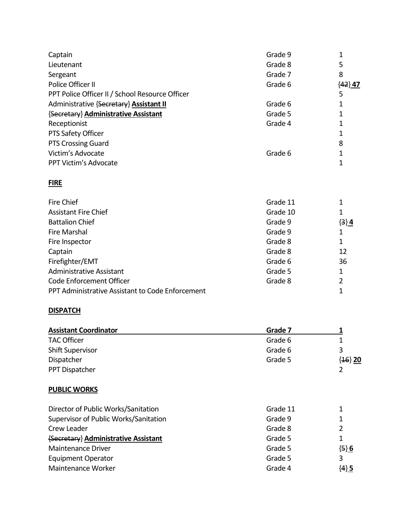| Captain                                          | Grade 9  | 1         |
|--------------------------------------------------|----------|-----------|
| Lieutenant                                       | Grade 8  | 5         |
| Sergeant                                         | Grade 7  | 8         |
| Police Officer II                                | Grade 6  | ${42}$ 47 |
| PPT Police Officer II / School Resource Officer  |          | 5         |
| Administrative {Secretary} Assistant II          | Grade 6  | 1         |
| {Secretary} Administrative Assistant             | Grade 5  | 1         |
| Receptionist                                     | Grade 4  | 1         |
| PTS Safety Officer                               |          | 1         |
| <b>PTS Crossing Guard</b>                        |          | 8         |
| Victim's Advocate                                | Grade 6  | 1         |
| PPT Victim's Advocate                            |          | 1         |
| <b>FIRE</b>                                      |          |           |
| <b>Fire Chief</b>                                | Grade 11 | 1         |
| <b>Assistant Fire Chief</b>                      | Grade 10 | 1         |
| <b>Battalion Chief</b>                           | Grade 9  | $\{3\}$ 4 |
| <b>Fire Marshal</b>                              | Grade 9  | 1         |
| Fire Inspector                                   | Grade 8  | 1         |
| Captain                                          | Grade 8  | 12        |
| Firefighter/EMT                                  | Grade 6  | 36        |
| <b>Administrative Assistant</b>                  | Grade 5  | 1         |
| Code Enforcement Officer                         | Grade 8  | 2         |
| PPT Administrative Assistant to Code Enforcement |          | 1         |

### **DISPATCH**

| <b>Assistant Coordinator</b> | Grade 7 |             |
|------------------------------|---------|-------------|
| <b>TAC Officer</b>           | Grade 6 |             |
| <b>Shift Supervisor</b>      | Grade 6 | 3           |
| Dispatcher                   | Grade 5 | $\{46\}$ 20 |
| PPT Dispatcher               |         |             |

### **PUBLIC WORKS**

| Director of Public Works/Sanitation   | Grade 11 |           |
|---------------------------------------|----------|-----------|
| Supervisor of Public Works/Sanitation | Grade 9  |           |
| Crew Leader                           | Grade 8  |           |
| {Secretary} Administrative Assistant  | Grade 5  |           |
| <b>Maintenance Driver</b>             | Grade 5  | $\{5\} 6$ |
| <b>Equipment Operator</b>             | Grade 5  |           |
| Maintenance Worker                    | Grade 4  | $\{4\}$ 5 |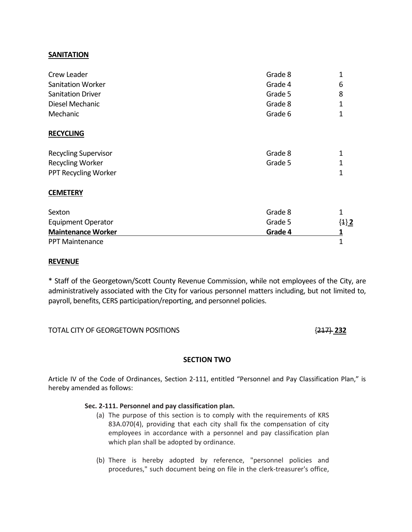### **SANITATION**

| Crew Leader                 | Grade 8 | $\mathbf{1}$ |
|-----------------------------|---------|--------------|
| <b>Sanitation Worker</b>    | Grade 4 | 6            |
| <b>Sanitation Driver</b>    | Grade 5 | 8            |
| Diesel Mechanic             | Grade 8 | 1            |
| Mechanic                    | Grade 6 | 1            |
| <b>RECYCLING</b>            |         |              |
| <b>Recycling Supervisor</b> | Grade 8 | 1            |
| <b>Recycling Worker</b>     | Grade 5 | 1            |
| PPT Recycling Worker        |         | 1            |
| <b>CEMETERY</b>             |         |              |
| Sexton                      | Grade 8 | 1            |
| <b>Equipment Operator</b>   | Grade 5 | $\{1\}$ 2    |
| <b>Maintenance Worker</b>   | Grade 4 |              |
| <b>PPT Maintenance</b>      |         | $\mathbf 1$  |

### **REVENUE**

\* Staff of the Georgetown/Scott County Revenue Commission, while not employees of the City, are administratively associated with the City for various personnel matters including, but not limited to, payroll, benefits, CERS participation/reporting, and personnel policies.

### TOTAL CITY OF GEORGETOWN POSITIONS {217} **232**

### **SECTION TWO**

Article IV of the Code of Ordinances, Section 2-111, entitled "Personnel and Pay Classification Plan," is hereby amended as follows:

### **Sec. 2-111. Personnel and pay classification plan.**

- (a) The purpose of this section is to comply with the requirements of KRS 83A.070(4), providing that each city shall fix the compensation of city employees in accordance with a personnel and pay classification plan which plan shall be adopted by ordinance.
- (b) There is hereby adopted by reference, "personnel policies and procedures," such document being on file in the clerk-treasurer's office,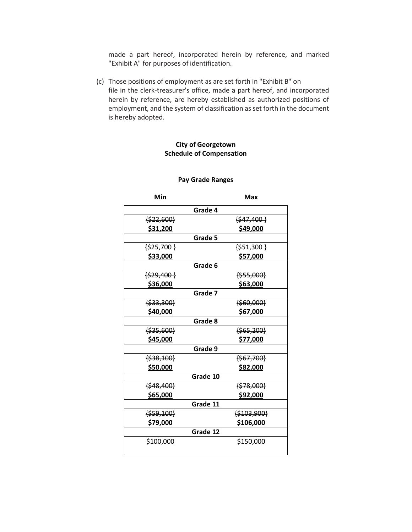made a part hereof, incorporated herein by reference, and marked "Exhibit A" for purposes of identification.

(c) Those positions of employment as are set forth in "Exhibit B" on file in the clerk-treasurer's office, made a part hereof, and incorporated herein by reference, are hereby established as authorized positions of employment, and the system of classification as set forth in the document is hereby adopted.

### **City of Georgetown Schedule of Compensation**

### **Pay Grade Ranges**

| Min             | Max           |
|-----------------|---------------|
|                 | Grade 4       |
| $\{522,600\}$   | $\{547,400\}$ |
| <u>\$31,200</u> | \$49,000      |
|                 | Grade 5       |
| $\{525,700\}$   | $\{551,300\}$ |
| \$33,000        | \$57,000      |
|                 | Grade 6       |
| $\{529,400\}$   | ${555,000}$   |
| \$36,000        | \$63,000      |
|                 | Grade 7       |
| ${533,300}$     | ${560,000}$   |
| \$40,000        | \$67,000      |
|                 | Grade 8       |
| ${535,600}$     | ${565,200}$   |
| \$45,000        | \$77,000      |
|                 | Grade 9       |
| ${538,100}$     | ${567,700}$   |
| \$50,000        | \$82,000      |
|                 | Grade 10      |
| ${4,48,400}$    | ${578,000}$   |
| \$65,000        | \$92,000      |
|                 | Grade 11      |
| ${559,100}$     | ${5103,900}$  |
| \$79,000        | \$106,000     |
|                 | Grade 12      |
| \$100,000       | \$150,000     |
|                 |               |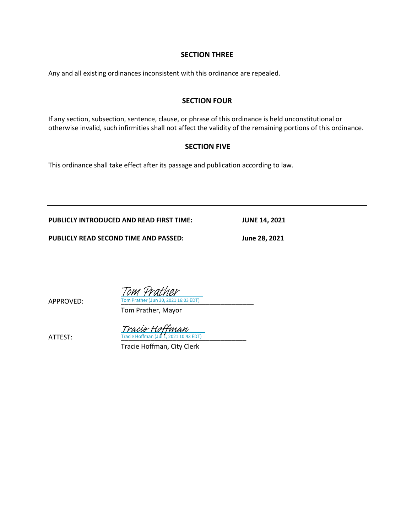### **SECTION THREE**

Any and all existing ordinances inconsistent with this ordinance are repealed.

### **SECTION FOUR**

If any section, subsection, sentence, clause, or phrase of this ordinance is held unconstitutional or otherwise invalid, such infirmities shall not affect the validity of the remaining portions of this ordinance.

### **SECTION FIVE**

This ordinance shall take effect after its passage and publication according to law.

**PUBLICLY INTRODUCED AND READ FIRST TIME: JUNE 14, 2021**

**PUBLICLY READ SECOND TIME AND PASSED: June 28, 2021**

APPROVED: Tom Prather (Jun 30, 2021 16:03 EDT) Tom Prather, Mayor

Tom Prather

 $\frac{Trace\; H\text{ of }H\text{,} }{Trace\;H\text{ of }H\text{,} 2021\;10:43\;\text{EDT}}$ 

Tracie Hoffman, City Clerk